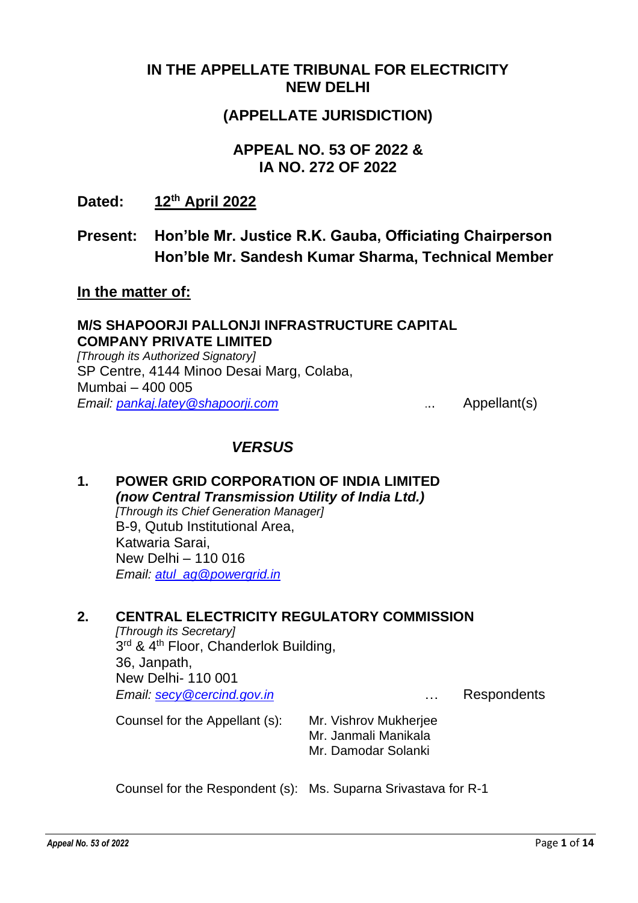# **IN THE APPELLATE TRIBUNAL FOR ELECTRICITY NEW DELHI**

# **(APPELLATE JURISDICTION)**

### **APPEAL NO. 53 OF 2022 & IA NO. 272 OF 2022**

**Dated: 12th April 2022**

**Present: Hon'ble Mr. Justice R.K. Gauba, Officiating Chairperson Hon'ble Mr. Sandesh Kumar Sharma, Technical Member**

#### **In the matter of:**

#### **M/S SHAPOORJI PALLONJI INFRASTRUCTURE CAPITAL COMPANY PRIVATE LIMITED** *[Through its Authorized Signatory]* SP Centre, 4144 Minoo Desai Marg, Colaba, Mumbai – 400 005

*Email: [pankaj.latey@shapoorji.com](mailto:pankaj.latey@shapoorji.com)* ... Appellant(s)

## *VERSUS*

## **1. POWER GRID CORPORATION OF INDIA LIMITED** *(now Central Transmission Utility of India Ltd.) [Through its Chief Generation Manager]* B-9, Qutub Institutional Area, Katwaria Sarai, New Delhi – 110 016 *Email: [atul\\_ag@powergrid.in](mailto:atul_ag@powergrid.in)*

#### **2. CENTRAL ELECTRICITY REGULATORY COMMISSION**

*[Through its Secretary]* 3<sup>rd</sup> & 4<sup>th</sup> Floor, Chanderlok Building, 36, Janpath, New Delhi- 110 001 *Email: [secy@cercind.gov.in](mailto:secy@cercind.gov.in)* … Respondents

Counsel for the Appellant (s): Mr. Vishrov Mukherjee Mr. Janmali Manikala Mr. Damodar Solanki

Counsel for the Respondent (s): Ms. Suparna Srivastava for R-1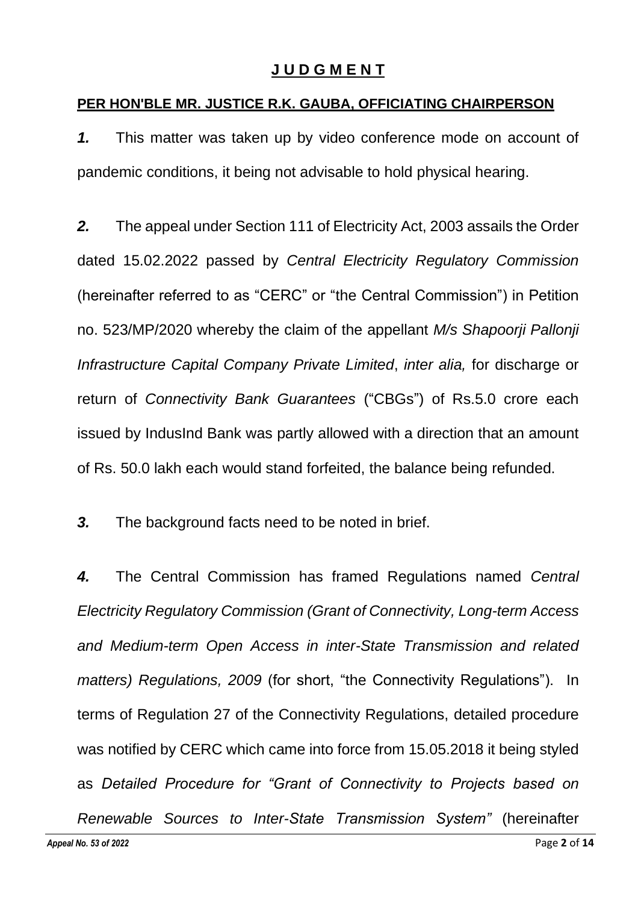# **J U D G M E N T**

## **PER HON'BLE MR. JUSTICE R.K. GAUBA, OFFICIATING CHAIRPERSON**

*1.* This matter was taken up by video conference mode on account of pandemic conditions, it being not advisable to hold physical hearing.

*2.* The appeal under Section 111 of Electricity Act, 2003 assails the Order dated 15.02.2022 passed by *Central Electricity Regulatory Commission* (hereinafter referred to as "CERC" or "the Central Commission") in Petition no. 523/MP/2020 whereby the claim of the appellant *M/s Shapoorji Pallonji Infrastructure Capital Company Private Limited*, *inter alia,* for discharge or return of *Connectivity Bank Guarantees* ("CBGs") of Rs.5.0 crore each issued by IndusInd Bank was partly allowed with a direction that an amount of Rs. 50.0 lakh each would stand forfeited, the balance being refunded.

*3.* The background facts need to be noted in brief.

*4.* The Central Commission has framed Regulations named *Central Electricity Regulatory Commission (Grant of Connectivity, Long-term Access and Medium-term Open Access in inter-State Transmission and related matters) Regulations, 2009* (for short, "the Connectivity Regulations"). In terms of Regulation 27 of the Connectivity Regulations, detailed procedure was notified by CERC which came into force from 15.05.2018 it being styled as *Detailed Procedure for "Grant of Connectivity to Projects based on Renewable Sources to Inter-State Transmission System"* (hereinafter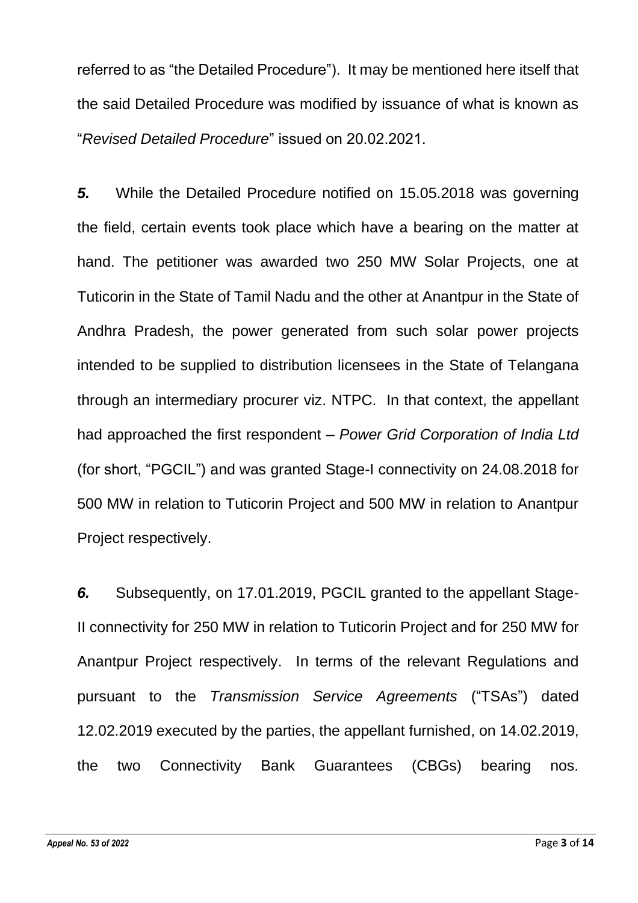referred to as "the Detailed Procedure"). It may be mentioned here itself that the said Detailed Procedure was modified by issuance of what is known as "*Revised Detailed Procedure*" issued on 20.02.2021.

*5.* While the Detailed Procedure notified on 15.05.2018 was governing the field, certain events took place which have a bearing on the matter at hand. The petitioner was awarded two 250 MW Solar Projects, one at Tuticorin in the State of Tamil Nadu and the other at Anantpur in the State of Andhra Pradesh, the power generated from such solar power projects intended to be supplied to distribution licensees in the State of Telangana through an intermediary procurer viz. NTPC. In that context, the appellant had approached the first respondent – *Power Grid Corporation of India Ltd* (for short, "PGCIL") and was granted Stage-I connectivity on 24.08.2018 for 500 MW in relation to Tuticorin Project and 500 MW in relation to Anantpur Project respectively.

*6.* Subsequently, on 17.01.2019, PGCIL granted to the appellant Stage-II connectivity for 250 MW in relation to Tuticorin Project and for 250 MW for Anantpur Project respectively. In terms of the relevant Regulations and pursuant to the *Transmission Service Agreements* ("TSAs") dated 12.02.2019 executed by the parties, the appellant furnished, on 14.02.2019, the two Connectivity Bank Guarantees (CBGs) bearing nos.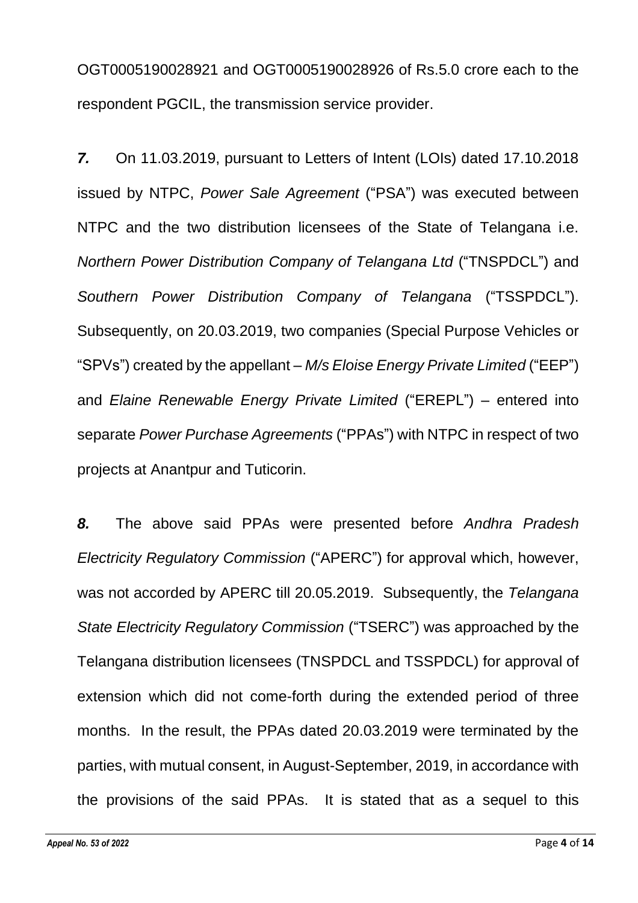OGT0005190028921 and OGT0005190028926 of Rs.5.0 crore each to the respondent PGCIL, the transmission service provider.

*7.* On 11.03.2019, pursuant to Letters of Intent (LOIs) dated 17.10.2018 issued by NTPC, *Power Sale Agreement* ("PSA") was executed between NTPC and the two distribution licensees of the State of Telangana i.e. *Northern Power Distribution Company of Telangana Ltd* ("TNSPDCL") and *Southern Power Distribution Company of Telangana* ("TSSPDCL"). Subsequently, on 20.03.2019, two companies (Special Purpose Vehicles or "SPVs") created by the appellant – *M/s Eloise Energy Private Limited* ("EEP") and *Elaine Renewable Energy Private Limited* ("EREPL") – entered into separate *Power Purchase Agreements* ("PPAs") with NTPC in respect of two projects at Anantpur and Tuticorin.

*8.* The above said PPAs were presented before *Andhra Pradesh Electricity Regulatory Commission* ("APERC") for approval which, however, was not accorded by APERC till 20.05.2019. Subsequently, the *Telangana State Electricity Regulatory Commission* ("TSERC") was approached by the Telangana distribution licensees (TNSPDCL and TSSPDCL) for approval of extension which did not come-forth during the extended period of three months. In the result, the PPAs dated 20.03.2019 were terminated by the parties, with mutual consent, in August-September, 2019, in accordance with the provisions of the said PPAs. It is stated that as a sequel to this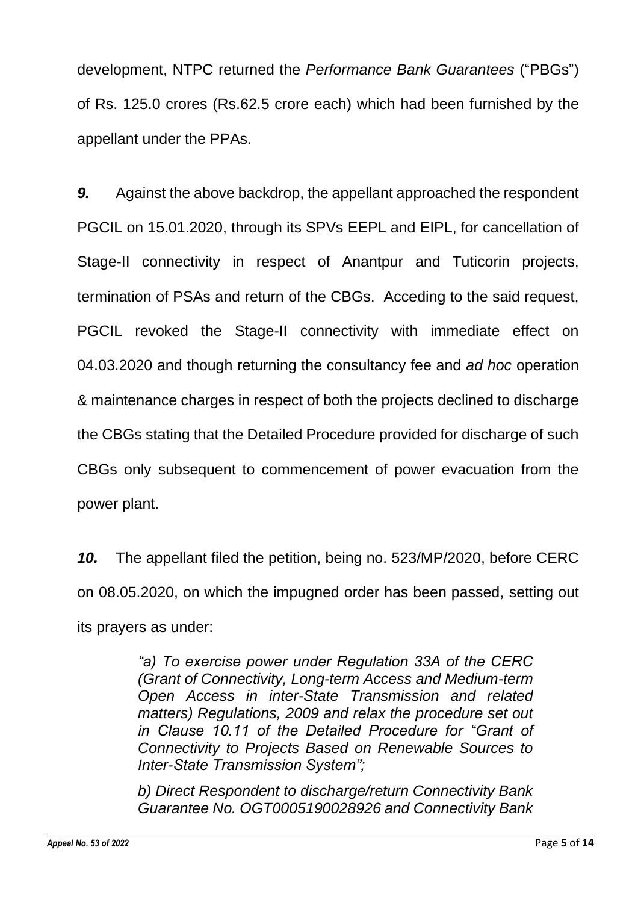development, NTPC returned the *Performance Bank Guarantees* ("PBGs") of Rs. 125.0 crores (Rs.62.5 crore each) which had been furnished by the appellant under the PPAs.

*9.* Against the above backdrop, the appellant approached the respondent PGCIL on 15.01.2020, through its SPVs EEPL and EIPL, for cancellation of Stage-II connectivity in respect of Anantpur and Tuticorin projects, termination of PSAs and return of the CBGs. Acceding to the said request, PGCIL revoked the Stage-II connectivity with immediate effect on 04.03.2020 and though returning the consultancy fee and *ad hoc* operation & maintenance charges in respect of both the projects declined to discharge the CBGs stating that the Detailed Procedure provided for discharge of such CBGs only subsequent to commencement of power evacuation from the power plant.

*10.* The appellant filed the petition, being no. 523/MP/2020, before CERC on 08.05.2020, on which the impugned order has been passed, setting out its prayers as under:

> *"a) To exercise power under Regulation 33A of the CERC (Grant of Connectivity, Long-term Access and Medium-term Open Access in inter-State Transmission and related matters) Regulations, 2009 and relax the procedure set out in Clause 10.11 of the Detailed Procedure for "Grant of Connectivity to Projects Based on Renewable Sources to Inter-State Transmission System";*

> *b) Direct Respondent to discharge/return Connectivity Bank Guarantee No. OGT0005190028926 and Connectivity Bank*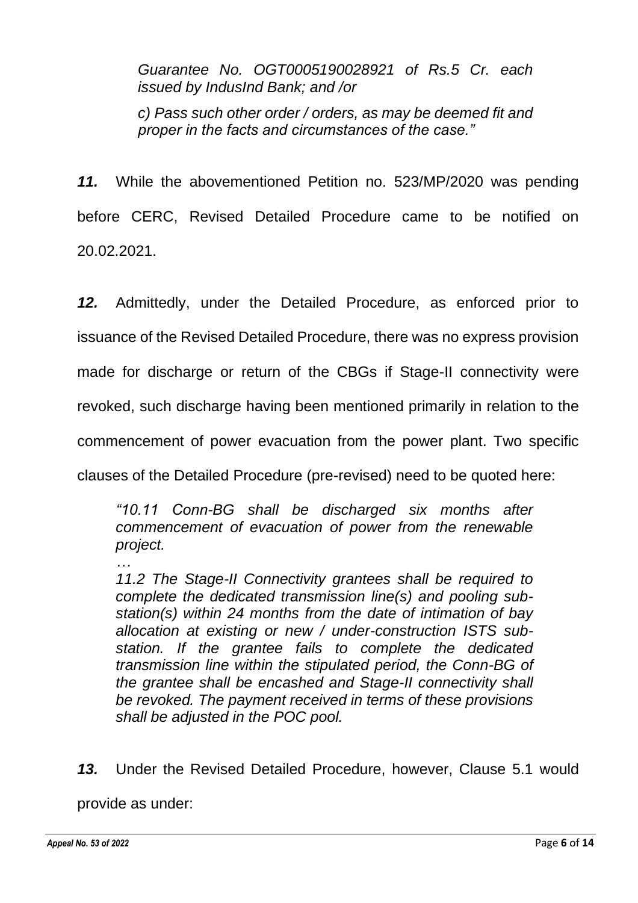*Guarantee No. OGT0005190028921 of Rs.5 Cr. each issued by IndusInd Bank; and /or*

*c) Pass such other order / orders, as may be deemed fit and proper in the facts and circumstances of the case."*

*11.* While the abovementioned Petition no. 523/MP/2020 was pending before CERC, Revised Detailed Procedure came to be notified on 20.02.2021.

*12.* Admittedly, under the Detailed Procedure, as enforced prior to

issuance of the Revised Detailed Procedure, there was no express provision

made for discharge or return of the CBGs if Stage-II connectivity were

revoked, such discharge having been mentioned primarily in relation to the

commencement of power evacuation from the power plant. Two specific

clauses of the Detailed Procedure (pre-revised) need to be quoted here:

*"10.11 Conn-BG shall be discharged six months after commencement of evacuation of power from the renewable project.*

*… 11.2 The Stage-II Connectivity grantees shall be required to complete the dedicated transmission line(s) and pooling substation(s) within 24 months from the date of intimation of bay allocation at existing or new / under-construction ISTS substation. If the grantee fails to complete the dedicated transmission line within the stipulated period, the Conn-BG of the grantee shall be encashed and Stage-II connectivity shall be revoked. The payment received in terms of these provisions shall be adjusted in the POC pool.*

*13.* Under the Revised Detailed Procedure, however, Clause 5.1 would provide as under: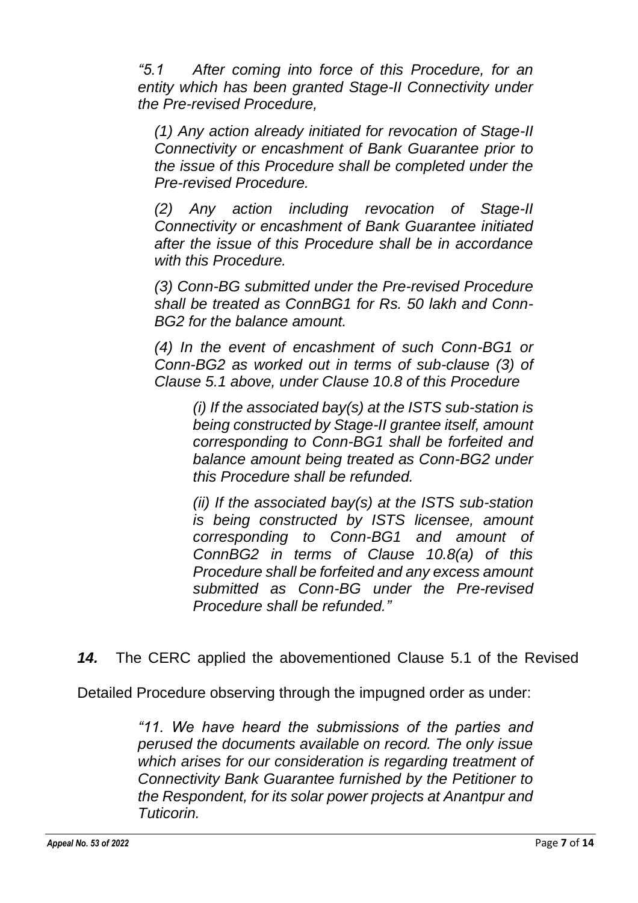*"5.1 After coming into force of this Procedure, for an entity which has been granted Stage-II Connectivity under the Pre-revised Procedure,*

*(1) Any action already initiated for revocation of Stage-II Connectivity or encashment of Bank Guarantee prior to the issue of this Procedure shall be completed under the Pre-revised Procedure.* 

*(2) Any action including revocation of Stage-II Connectivity or encashment of Bank Guarantee initiated after the issue of this Procedure shall be in accordance with this Procedure.*

*(3) Conn-BG submitted under the Pre-revised Procedure shall be treated as ConnBG1 for Rs. 50 lakh and Conn-BG2 for the balance amount.*

*(4) In the event of encashment of such Conn-BG1 or Conn-BG2 as worked out in terms of sub-clause (3) of Clause 5.1 above, under Clause 10.8 of this Procedure*

*(i) If the associated bay(s) at the ISTS sub-station is being constructed by Stage-II grantee itself, amount corresponding to Conn-BG1 shall be forfeited and balance amount being treated as Conn-BG2 under this Procedure shall be refunded.*

*(ii) If the associated bay(s) at the ISTS sub-station is being constructed by ISTS licensee, amount corresponding to Conn-BG1 and amount of ConnBG2 in terms of Clause 10.8(a) of this Procedure shall be forfeited and any excess amount submitted as Conn-BG under the Pre-revised Procedure shall be refunded."*

*14.* The CERC applied the abovementioned Clause 5.1 of the Revised

Detailed Procedure observing through the impugned order as under:

*"11. We have heard the submissions of the parties and perused the documents available on record. The only issue which arises for our consideration is regarding treatment of Connectivity Bank Guarantee furnished by the Petitioner to the Respondent, for its solar power projects at Anantpur and Tuticorin.*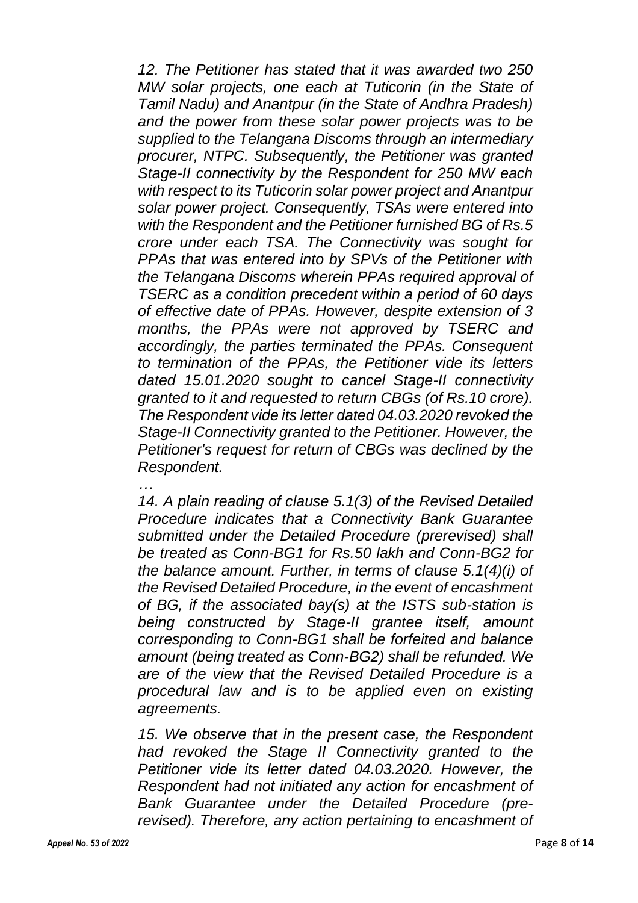*12. The Petitioner has stated that it was awarded two 250 MW solar projects, one each at Tuticorin (in the State of Tamil Nadu) and Anantpur (in the State of Andhra Pradesh) and the power from these solar power projects was to be supplied to the Telangana Discoms through an intermediary procurer, NTPC. Subsequently, the Petitioner was granted Stage-II connectivity by the Respondent for 250 MW each with respect to its Tuticorin solar power project and Anantpur solar power project. Consequently, TSAs were entered into with the Respondent and the Petitioner furnished BG of Rs.5 crore under each TSA. The Connectivity was sought for PPAs that was entered into by SPVs of the Petitioner with the Telangana Discoms wherein PPAs required approval of TSERC as a condition precedent within a period of 60 days of effective date of PPAs. However, despite extension of 3 months, the PPAs were not approved by TSERC and accordingly, the parties terminated the PPAs. Consequent to termination of the PPAs, the Petitioner vide its letters dated 15.01.2020 sought to cancel Stage-II connectivity granted to it and requested to return CBGs (of Rs.10 crore). The Respondent vide its letter dated 04.03.2020 revoked the Stage-II Connectivity granted to the Petitioner. However, the Petitioner's request for return of CBGs was declined by the Respondent.*

*…*

*14. A plain reading of clause 5.1(3) of the Revised Detailed Procedure indicates that a Connectivity Bank Guarantee submitted under the Detailed Procedure (prerevised) shall be treated as Conn-BG1 for Rs.50 lakh and Conn-BG2 for the balance amount. Further, in terms of clause 5.1(4)(i) of the Revised Detailed Procedure, in the event of encashment of BG, if the associated bay(s) at the ISTS sub-station is being constructed by Stage-II grantee itself, amount corresponding to Conn-BG1 shall be forfeited and balance amount (being treated as Conn-BG2) shall be refunded. We are of the view that the Revised Detailed Procedure is a procedural law and is to be applied even on existing agreements.*

*15. We observe that in the present case, the Respondent had revoked the Stage II Connectivity granted to the Petitioner vide its letter dated 04.03.2020. However, the Respondent had not initiated any action for encashment of Bank Guarantee under the Detailed Procedure (prerevised). Therefore, any action pertaining to encashment of*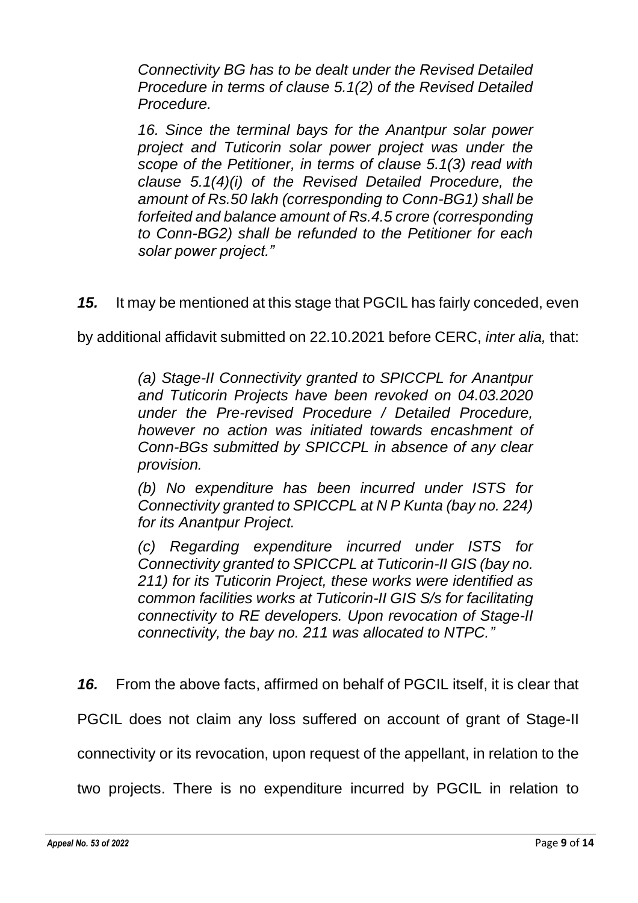*Connectivity BG has to be dealt under the Revised Detailed Procedure in terms of clause 5.1(2) of the Revised Detailed Procedure.*

*16. Since the terminal bays for the Anantpur solar power project and Tuticorin solar power project was under the scope of the Petitioner, in terms of clause 5.1(3) read with clause 5.1(4)(i) of the Revised Detailed Procedure, the amount of Rs.50 lakh (corresponding to Conn-BG1) shall be forfeited and balance amount of Rs.4.5 crore (corresponding to Conn-BG2) shall be refunded to the Petitioner for each solar power project."*

*15.* It may be mentioned at this stage that PGCIL has fairly conceded, even

by additional affidavit submitted on 22.10.2021 before CERC, *inter alia,* that:

*(a) Stage-II Connectivity granted to SPICCPL for Anantpur and Tuticorin Projects have been revoked on 04.03.2020 under the Pre-revised Procedure / Detailed Procedure, however no action was initiated towards encashment of Conn-BGs submitted by SPICCPL in absence of any clear provision.* 

*(b) No expenditure has been incurred under ISTS for Connectivity granted to SPICCPL at N P Kunta (bay no. 224) for its Anantpur Project.* 

*(c) Regarding expenditure incurred under ISTS for Connectivity granted to SPICCPL at Tuticorin-II GIS (bay no. 211) for its Tuticorin Project, these works were identified as common facilities works at Tuticorin-II GIS S/s for facilitating connectivity to RE developers. Upon revocation of Stage-II connectivity, the bay no. 211 was allocated to NTPC."*

*16.* From the above facts, affirmed on behalf of PGCIL itself, it is clear that PGCIL does not claim any loss suffered on account of grant of Stage-II connectivity or its revocation, upon request of the appellant, in relation to the two projects. There is no expenditure incurred by PGCIL in relation to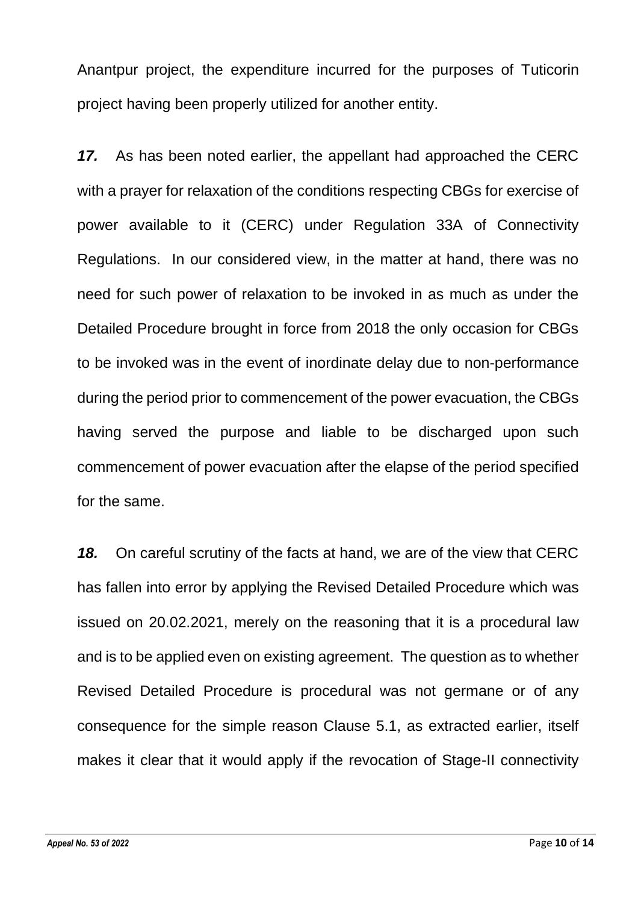Anantpur project, the expenditure incurred for the purposes of Tuticorin project having been properly utilized for another entity.

*17.* As has been noted earlier, the appellant had approached the CERC with a prayer for relaxation of the conditions respecting CBGs for exercise of power available to it (CERC) under Regulation 33A of Connectivity Regulations. In our considered view, in the matter at hand, there was no need for such power of relaxation to be invoked in as much as under the Detailed Procedure brought in force from 2018 the only occasion for CBGs to be invoked was in the event of inordinate delay due to non-performance during the period prior to commencement of the power evacuation, the CBGs having served the purpose and liable to be discharged upon such commencement of power evacuation after the elapse of the period specified for the same.

*18.* On careful scrutiny of the facts at hand, we are of the view that CERC has fallen into error by applying the Revised Detailed Procedure which was issued on 20.02.2021, merely on the reasoning that it is a procedural law and is to be applied even on existing agreement. The question as to whether Revised Detailed Procedure is procedural was not germane or of any consequence for the simple reason Clause 5.1, as extracted earlier, itself makes it clear that it would apply if the revocation of Stage-II connectivity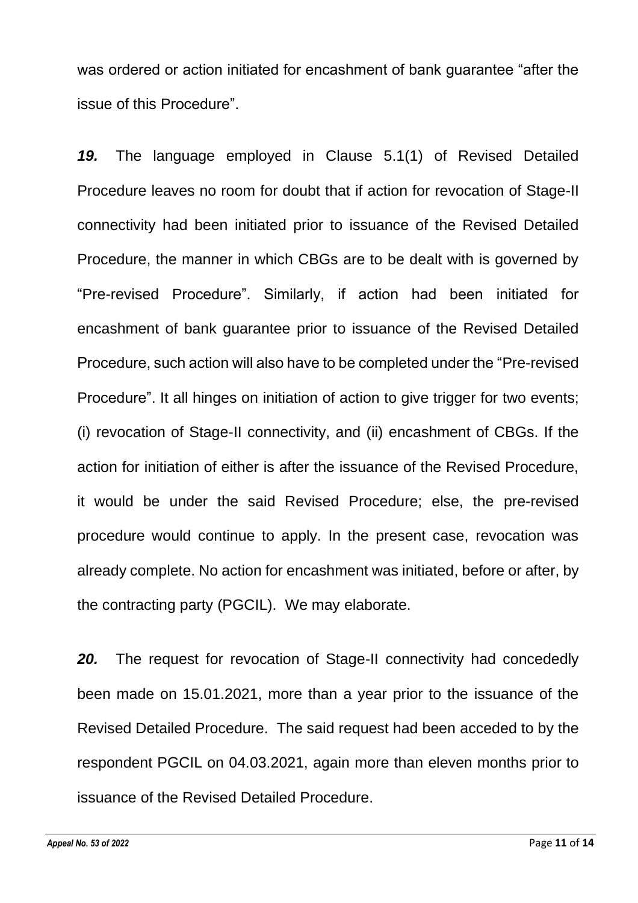was ordered or action initiated for encashment of bank guarantee "after the issue of this Procedure".

*19.* The language employed in Clause 5.1(1) of Revised Detailed Procedure leaves no room for doubt that if action for revocation of Stage-II connectivity had been initiated prior to issuance of the Revised Detailed Procedure, the manner in which CBGs are to be dealt with is governed by "Pre-revised Procedure". Similarly, if action had been initiated for encashment of bank guarantee prior to issuance of the Revised Detailed Procedure, such action will also have to be completed under the "Pre-revised Procedure". It all hinges on initiation of action to give trigger for two events; (i) revocation of Stage-II connectivity, and (ii) encashment of CBGs. If the action for initiation of either is after the issuance of the Revised Procedure, it would be under the said Revised Procedure; else, the pre-revised procedure would continue to apply. In the present case, revocation was already complete. No action for encashment was initiated, before or after, by the contracting party (PGCIL). We may elaborate.

*20.* The request for revocation of Stage-II connectivity had concededly been made on 15.01.2021, more than a year prior to the issuance of the Revised Detailed Procedure. The said request had been acceded to by the respondent PGCIL on 04.03.2021, again more than eleven months prior to issuance of the Revised Detailed Procedure.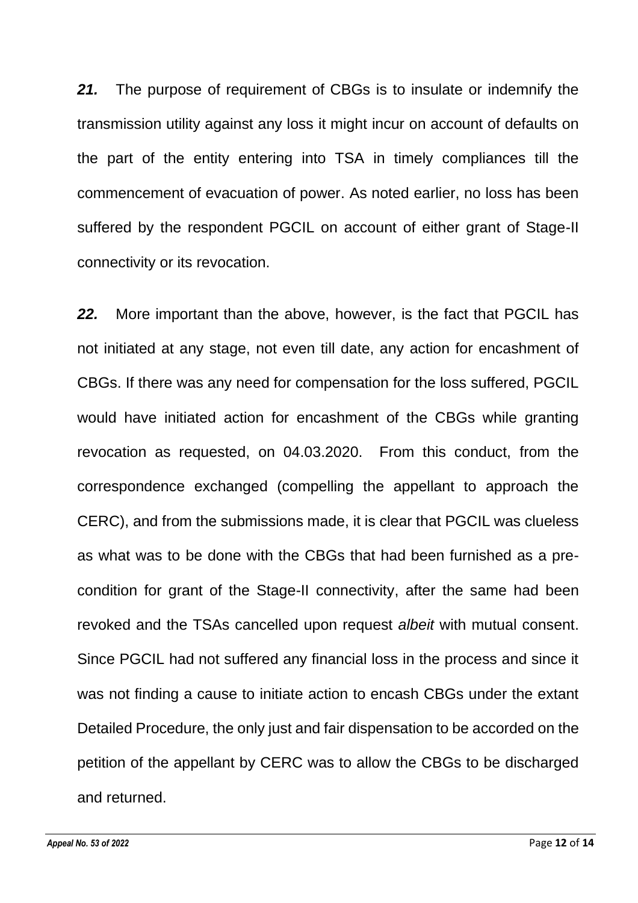*21.* The purpose of requirement of CBGs is to insulate or indemnify the transmission utility against any loss it might incur on account of defaults on the part of the entity entering into TSA in timely compliances till the commencement of evacuation of power. As noted earlier, no loss has been suffered by the respondent PGCIL on account of either grant of Stage-II connectivity or its revocation.

*22.* More important than the above, however, is the fact that PGCIL has not initiated at any stage, not even till date, any action for encashment of CBGs. If there was any need for compensation for the loss suffered, PGCIL would have initiated action for encashment of the CBGs while granting revocation as requested, on 04.03.2020. From this conduct, from the correspondence exchanged (compelling the appellant to approach the CERC), and from the submissions made, it is clear that PGCIL was clueless as what was to be done with the CBGs that had been furnished as a precondition for grant of the Stage-II connectivity, after the same had been revoked and the TSAs cancelled upon request *albeit* with mutual consent. Since PGCIL had not suffered any financial loss in the process and since it was not finding a cause to initiate action to encash CBGs under the extant Detailed Procedure, the only just and fair dispensation to be accorded on the petition of the appellant by CERC was to allow the CBGs to be discharged and returned.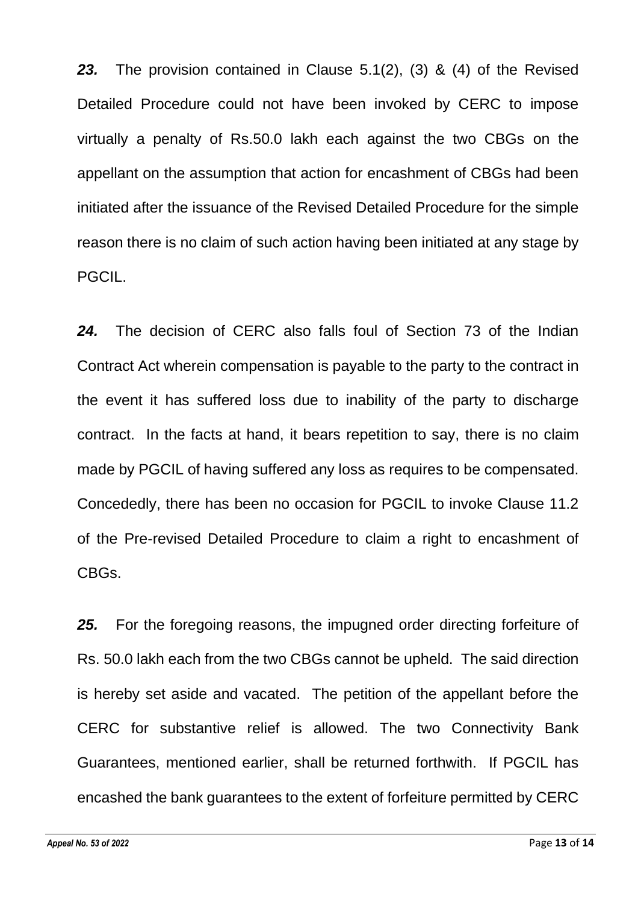*23.* The provision contained in Clause 5.1(2), (3) & (4) of the Revised Detailed Procedure could not have been invoked by CERC to impose virtually a penalty of Rs.50.0 lakh each against the two CBGs on the appellant on the assumption that action for encashment of CBGs had been initiated after the issuance of the Revised Detailed Procedure for the simple reason there is no claim of such action having been initiated at any stage by PGCIL.

*24.* The decision of CERC also falls foul of Section 73 of the Indian Contract Act wherein compensation is payable to the party to the contract in the event it has suffered loss due to inability of the party to discharge contract. In the facts at hand, it bears repetition to say, there is no claim made by PGCIL of having suffered any loss as requires to be compensated. Concededly, there has been no occasion for PGCIL to invoke Clause 11.2 of the Pre-revised Detailed Procedure to claim a right to encashment of CBGs.

*25.* For the foregoing reasons, the impugned order directing forfeiture of Rs. 50.0 lakh each from the two CBGs cannot be upheld. The said direction is hereby set aside and vacated. The petition of the appellant before the CERC for substantive relief is allowed. The two Connectivity Bank Guarantees, mentioned earlier, shall be returned forthwith. If PGCIL has encashed the bank guarantees to the extent of forfeiture permitted by CERC